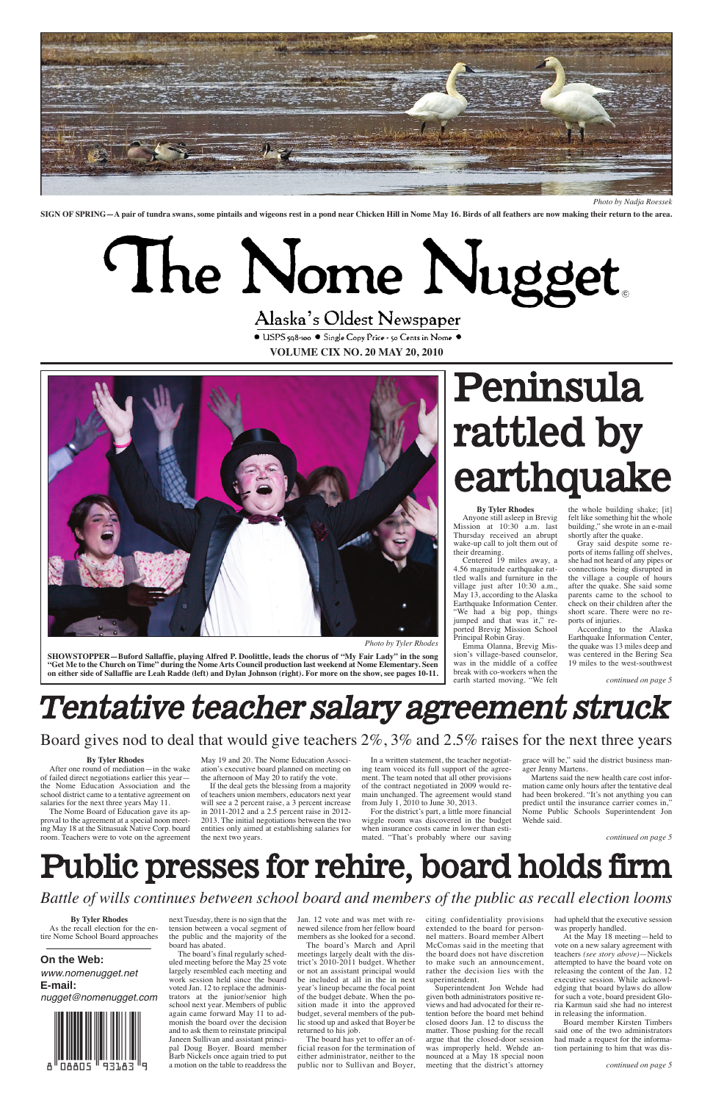● USPS 598-100 ● Single Copy Price - 50 Cents in Nome ● **VOLUME CIX NO. 20 MAY 20, 2010**





*Photo by Nadja Roessek*

*Photo by Tyler Rhodes*

**SIGN OF SPRING—A pair of tundra swans, some pintails and wigeons rest in a pond near Chicken Hill in Nome May 16. Birds of all feathers are now making their return to the area.**

# The Nome Nugget

## Alaska's Oldest Newspaper

**SHOWSTOPPER—Buford Sallaffie, playing Alfred P. Doolittle, leads the chorus of "My Fair Lady" in the song "Get Me to the Church on Time" during the Nome Arts Council production last weekend at Nome Elementary. Seen on either side of Sallaffie are Leah Radde (left) and Dylan Johnson (right). For more on the show, see pages 10-11.**

#### **By Tyler Rhodes**

Anyone still asleep in Brevig Mission at 10:30 a.m. last Thursday received an abrupt wake-up call to jolt them out of their dreaming.

Centered 19 miles away, a 4.56 magnitude earthquake rattled walls and furniture in the village just after 10:30 a.m., May 13, according to the Alaska Earthquake Information Center. "We had a big pop, things jumped and that was it," reported Brevig Mission School Principal Robin Gray.

The Nome Board of Education gave its approval to the agreement at a special noon meeting May 18 at the Sitnasuak Native Corp. board room. Teachers were to vote on the agreement the next two years.

Emma Olanna, Brevig Mission's village-based counselor, was in the middle of a coffee break with co-workers when the earth started moving. "We felt

May 19 and 20. The Nome Education Association's executive board planned on meeting on the afternoon of May  $20$  to ratify the vote.

the whole building shake; [it] felt like something hit the whole building," she wrote in an e-mail shortly after the quake.

Gray said despite some reports of items falling off shelves, she had not heard of any pipes or connections being disrupted in the village a couple of hours after the quake. She said some parents came to the school to check on their children after the short scare. There were no reports of injuries.

According to the Alaska Earthquake Information Center, the quake was 13 miles deep and was centered in the Bering Sea 19 miles to the west-southwest

# Peninsula rattled by earthquake

# Tentative teacher salary agreement struck

### **By Tyler Rhodes**

After one round of mediation—in the wake of failed direct negotiations earlier this year the Nome Education Association and the school district came to a tentative agreement on salaries for the next three years May 11.

If the deal gets the blessing from a majority of teachers union members, educators next year will see a 2 percent raise, a 3 percent increase in 2011-2012 and a 2.5 percent raise in 2012- 2013. The initial negotiations between the two entities only aimed at establishing salaries for

In a written statement, the teacher negotiating team voiced its full support of the agreement. The team noted that all other provisions of the contract negotiated in 2009 would remain unchanged. The agreement would stand

from July 1, 2010 to June 30, 2013.

For the district's part, a little more financial wiggle room was discovered in the budget when insurance costs came in lower than estimated. "That's probably where our saving

grace will be," said the district business manager Jenny Martens.

Martens said the new health care cost information came only hours after the tentative deal had been brokered. "It's not anything you can predict until the insurance carrier comes in," Nome Public Schools Superintendent Jon Wehde said.

#### **By Tyler Rhodes**

As the recall election for the entire Nome School Board approaches

next Tuesday, there is no sign that the tension between a vocal segment of the public and the majority of the board has abated.

The board's final regularly scheduled meeting before the May 25 vote largely resembled each meeting and work session held since the board voted Jan. 12 to replace the administrators at the junior/senior high school next year. Members of public again came forward May 11 to admonish the board over the decision and to ask them to reinstate principal Janeen Sullivan and assistant principal Doug Boyer. Board member Barb Nickels once again tried to put a motion on the table to readdress the

Jan. 12 vote and was met with renewed silence from her fellow board members as she looked for a second.

The board's March and April meetings largely dealt with the district's 2010-2011 budget. Whether or not an assistant principal would be included at all in the in next year's lineup became the focal point of the budget debate. When the position made it into the approved budget, several members of the public stood up and asked that Boyer be returned to his job.

The board has yet to offer an official reason for the termination of either administrator, neither to the public nor to Sullivan and Boyer, citing confidentiality provisions extended to the board for personnel matters. Board member Albert McComas said in the meeting that the board does not have discretion to make such an announcement, rather the decision lies with the superintendent.

Superintendent Jon Wehde had given both administrators positive reviews and had advocated for their retention before the board met behind closed doors Jan. 12 to discuss the matter. Those pushing for the recall argue that the closed-door session was improperly held. Wehde announced at a May 18 special noon meeting that the district's attorney

had upheld that the executive session was properly handled.

At the May 18 meeting—held to vote on a new salary agreement with teachers *(see story above)*—Nickels attempted to have the board vote on releasing the content of the Jan. 12 executive session. While acknowledging that board bylaws do allow for such a vote, board president Gloria Karmun said she had no interest in releasing the information.

Board member Kirsten Timbers said one of the two administrators had made a request for the information pertaining to him that was dis-

# Public presses for rehire, board holds firm

*Battle of wills continues between school board and members of the public as recall election looms*

## Board gives nod to deal that would give teachers 2%, 3% and 2.5% raises for the next three years

*continued on page 5*

*continued on page 5*

*continued on page 5*

## **On the Web:** www.nomenugget.net **E-mail:**

nugget@nomenugget.com